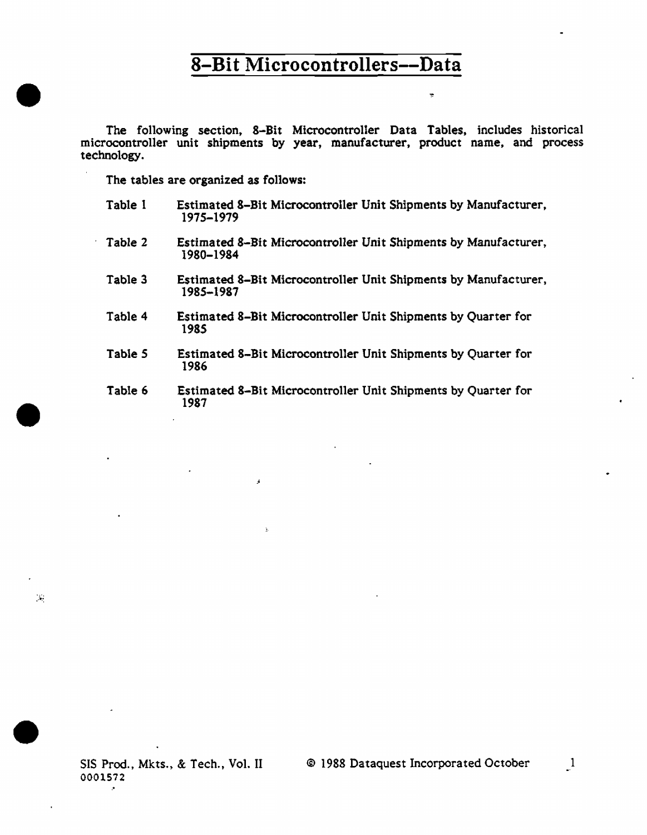The following section, 8-Bit Microcontroller Data Tables, includes historical microcontroller unit shipments by year, manufacturer, product name, and process technology.

÷

The tables are organized as follows:

•

•

•

 $\mathcal{N}_\mathrm{c}$ 

- Table 1 Estimated 8-Bit Microcontroller Unit Shipments by Manufacturer, 1975-1979
- Table 2 Estimated 8-Bit Microcontroller Unit Shipments by Manufacturer, 1980-1984
- Table 3 Estimated 8-Bit Microcontroller Unit Shipments by Manufacturer, 1985-1987
- Table 4 Estimated 8-Bit Microcontroller Unit Shipments by Quarter for 1985
- Table *5*  Estimated 8-Bit Microcontroller Unit Shipments by Quarter for 1986
- Table 6 Estimated 8-Bit Microcontroller Unit Shipments by Quarter for 1987

SIS Prod., Mkts., & Tech., Vol. II 0001572

-·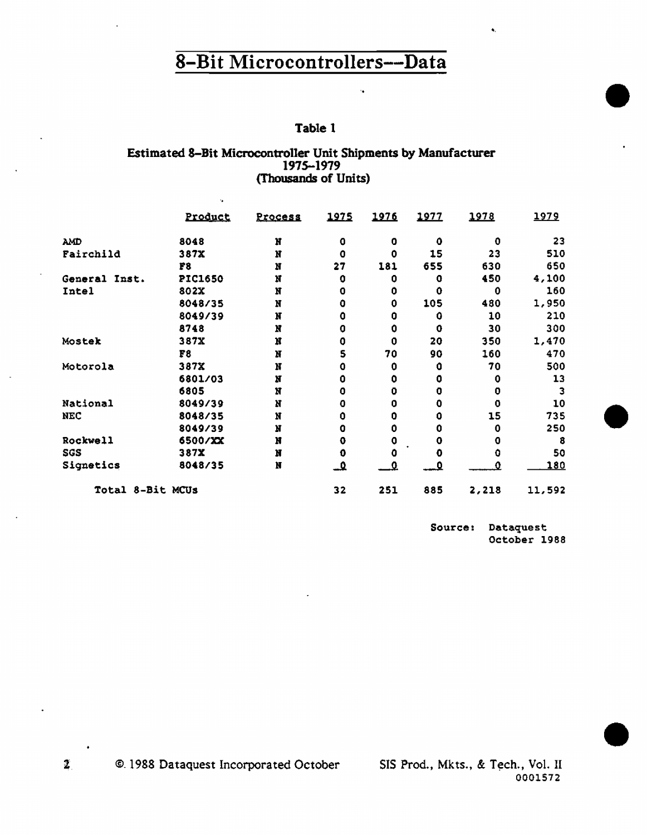#### Table 1

 $\ddot{\phantom{a}}$ 

#### Estimated 8-Bit Microcontroller Unit Shipments by Manufacturer 1975-1979 (Thousands of Units)

k.

|                  | <b>Product</b>          | Process | 1975      | 1976 | <u> 1977 </u> | 1978        | 1979        |
|------------------|-------------------------|---------|-----------|------|---------------|-------------|-------------|
| <b>AMD</b>       | 8048                    | N       | 0         | o    | 0             | 0           | 23          |
| Fairchild        | 387X                    | N       | 0         | 0    | 15            | 23          | 510         |
|                  | $\mathbf{F} \mathbf{B}$ | N       | 27        | 181  | 655           | 630         | 650         |
| General Inst.    | <b>PIC1650</b>          | N       | 0         | 0    | 0             | 450         | 4,100       |
| Intel            | 802X                    | N       | 0         | 0    | 0             | 0           | 160         |
|                  | 8048/35                 | N       | Ô         | 0    | 105           | 480         | 1,950       |
|                  | 8049/39                 | N       | Ô         | 0    | Û             | 10          | 210         |
|                  | 8748                    | N       | 0         | 0    | 0             | 30          | 300         |
| Mostek           | 387X                    | N       | 0         | 0    | 20            | 350         | 1,470       |
|                  | F8                      | N       | 5         | 70   | 90            | 160         | 470         |
| Motorola         | 387X                    | N       | ٥         | 0    | 0             | 70          | 500         |
|                  | 6801/03                 | N       | 0         | 0    | O             | 0           | 13          |
|                  | 6805                    | N       | o         | 0    | o             | $\mathbf 0$ | з           |
| National         | 8049/39                 | N       | 0         | 0    | 0             | $\mathbf 0$ | 10          |
| <b>NEC</b>       | 8048/35                 | N       | 0         | 0    | 0             | 15          | 735         |
|                  | 8049/39                 | N       | 0         | 0    | 0             | 0           | 250         |
| <b>Rockwell</b>  | 6500/XX                 | N       | 0         | o    | 0             | 0           | 8           |
| SGS              | 387X                    | N       | 0         | ο    | ٥             | O           | 50          |
| Signetics        | 8048/35                 | N       | <u>م.</u> | Ω    | O             | ο           | <u> 180</u> |
| Total 8-Bit MCUs |                         |         | 32        | 251  | 885           | 2,218       | 11,592      |

Source: Dataquest October 1988

..

•

•

•

©. 1988 Dataquest Incorporated October  $\mathbf{z}$ 

SIS Prod., Mkts., & Tech., Vol. II 0001572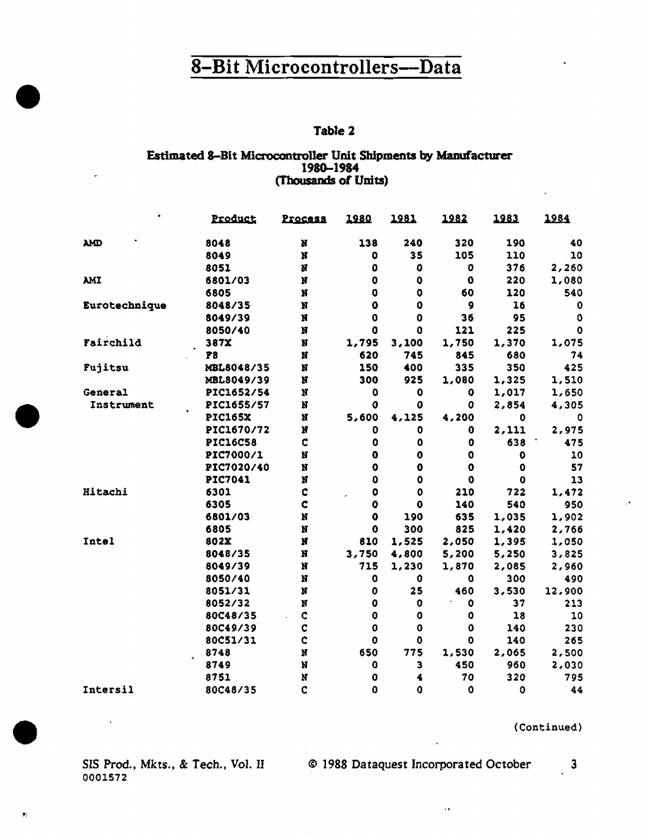#### Table 2

#### Estimated 8-Bit Microcontroller Unit Shipments by Manufacturer 1980-1984 (Thousands of Units)

|               | <u>Product</u>  | <u>Process</u> | 1980                | <u> 1981</u> | <u> 1982 </u>       | <u> 1983</u> | 1984   |
|---------------|-----------------|----------------|---------------------|--------------|---------------------|--------------|--------|
| <b>AMD</b>    | 8048            | N              | 138                 | 240          | 320                 | 190          | 40     |
|               | 8049            | N              | 0                   | 35           | 105                 | 110          | 10     |
|               | 8051            | И              | ٥                   | 0            | o                   | 376          | 2,260  |
| <b>AMI</b>    | 6801/03         | N              | 0                   | 0            | $\mathbf 0$         | 220          | 1,080  |
|               | 6805            | N              | 0                   | 0            | 60                  | 120          | 540    |
| Eurotechnique | 8048/35         | N              | $\mathbf 0$         | 0            | 9                   | 16           | 0      |
|               | 8049/39         | N              | 0                   | $\mathbf 0$  | 36                  | 95           | ٥      |
|               | 8050/40         | N              | 0                   | 0            | 121                 | 225          | 0      |
| Fairchild     | 387X            | N              | 1,795               | 3,100        | 1,750               | 1,370        | 1,075  |
|               | <b>P8</b>       | N              | 620                 | 745          | 845                 | 680          | 74     |
| Fujitsu       | MBL8048/35      | N              | 150                 | 400          | 335                 | 350          | 425    |
|               | MBL8049/39      | N              | 300                 | 925          | 1,080               | 1,325        | 1,510  |
| General       | PIC1652/54      | N              | $\mathbf 0$         | 0            | 0                   | 1,017        | 1,650  |
| Instrument    | PIC1655/57      | N              | 0                   | 0            | 0                   | 2,854        | 4,305  |
|               | <b>PIC165X</b>  | N              | 5,600               | 4,125        | 4,200               | 0            | 0      |
|               | PIC1670/72      | N              | 0                   | 0            | 0                   | 2,111        | 2,975  |
|               | <b>PIC16C58</b> | C              | 0                   | 0            | 0                   | 638          | 475    |
|               | PIC7000/1       | N              | $\ddot{\mathbf{0}}$ | 0            | 0                   | 0            | 10     |
|               | PIC7020/40      | N              | $\ddot{\mathbf{0}}$ | 0            | 0                   | o            | 57     |
|               | PIC7041         | Ń              | $\boldsymbol{0}$    | $\mathbf 0$  | $\ddot{\mathbf{0}}$ | 0            | 13     |
| Hitachi       | 6301            | C              | 0                   | 0            | 210                 | 722          | 1,472  |
|               | 6305            | ¢              | Ō                   | $\mathbf 0$  | 140                 | 540          | 950    |
|               | 6801/03         | N              | $\mathbf 0$         | 190          | 635                 | 1,035        | 1,902  |
|               | 6805            | N              | $\ddot{\mathbf{0}}$ | 300          | 825                 | 1,420        | 2,766  |
| Intel         | 802X            | N              | 810                 | 1,525        | 2,050               | 1,395        | 1,050  |
|               | 8048/35         | N              | 3,750               | 4,800        | 5,200               | 5,250        | 3,825  |
|               | 8049/39         | N              | 715                 | 1,230        | 1,870               | 2,085        | 2,960  |
|               | 8050/40         | N              | 0                   | $\mathbf 0$  | 0                   | 300          | 490    |
|               | 8051/31         | N              | 0                   | 25           | 460                 | 3,530        | 12,900 |
|               | 8052/32         | N              | $\mathbf 0$         | 0            | 0                   | 37           | 213    |
|               | 80C48/35        | c              | $\mathbf 0$         | 0            | 0                   | 18           | 10     |
|               | 80C49/39        | C              | $\mathbf 0$         | 0            | 0                   | 140          | 230    |
|               | 80C51/31        | C              | 0                   | 0            | 0                   | 140          | 265    |
|               | 8748            | N              | 650                 | 775          | 1,530               | 2,065        | 2,500  |
|               | 8749            | N              | 0                   | 3            | 450                 | 960          | 2,030  |
|               | 8751            | N              | 0                   | 4            | 70                  | 320          | 795    |
| Intersil      | 80C48/35        | C              | 0                   | 0            | 0                   | $\mathbf 0$  | 44     |

(Continued)

0001572

SIS Prod., Mkts., & Tech., Vol. II © 1988 Dataquest Incorporated October

 $\sim 10$ 

 $\overline{\mathbf{3}}$ 

 $\mathbf{P}_\mathrm{c}$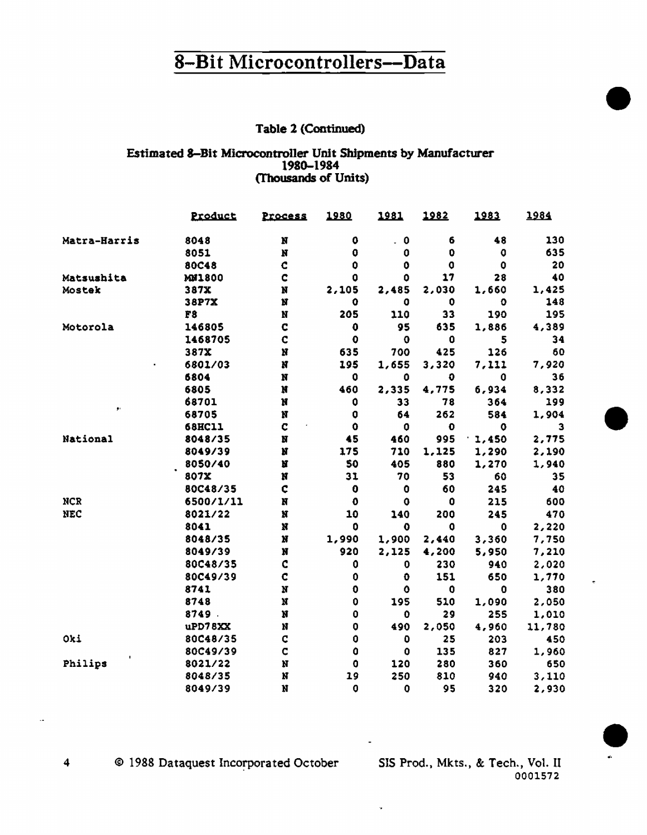#### Table 2 (Continued)

#### Estimated 8-Bit Microcontroller Unit Shipments by Manufacturer 1980-1984 (Thousands of Units)

|              | Product       | <b>Process</b>     | 1980                | 1981                                | <u> 1982</u> | <u> 1983</u> | 1984   |
|--------------|---------------|--------------------|---------------------|-------------------------------------|--------------|--------------|--------|
| Matra-Harris | 8048          | N                  | 0                   | $\mathbf 0$<br>$\ddot{\phantom{0}}$ | 6            | 48           | 130    |
|              | 8051          | N                  | 0                   | $\mathbf 0$                         | 0            | o            | 635    |
|              | 80C48         | Ċ                  | 0                   | $\mathbf 0$                         | O            | $\mathbf 0$  | 20     |
| Matsushita   | MN1800        | C                  | ٥                   | ٥                                   | 17           | 28           | 40     |
| Mostek       | 387X          | N                  | 2,105               | 2,485                               | 2,030        | 1,660        | 1,425  |
|              | 38P7X         | N                  | 0                   | 0                                   | 0            | ٥            | 146    |
|              | F8            | N                  | 205                 | 110                                 | 33           | 190          | 195    |
| Motorola     | 146805        | C                  | 0                   | 95                                  | 635          | 1,886        | 4,389  |
|              | 1468705       | $\mathbf c$        | $\ddot{\mathbf{0}}$ | $\mathbf{0}$                        | 0            | 5            | 34     |
|              | 387X          | N                  | 635                 | 700                                 | 425          | 126          | 60     |
|              | 6801/03       | N                  | 195                 | 1,655                               | 3,320        | 7,111        | 7,920  |
|              | 6804          | N                  | 0                   | $\mathbf 0$                         | 0            | $\mathbf 0$  | 36     |
|              | 6805          | N                  | 460                 | 2,335                               | 4,775        | 6,934        | 8,332  |
|              | 68701         | N                  | 0                   | 33                                  | 78           | 364          | 199    |
| ŷ.           | 68705         | N                  | 0                   | 64                                  | 262          | 584          | 1,904  |
|              | <b>68HC11</b> | C                  | 0                   | 0                                   | 0            | ٥            | з      |
| National     | 8048/35       | N                  | 45                  | 460                                 | 995          | 1,450        | 2,775  |
|              | 8049/39       | N                  | 175                 | 710                                 | 1,125        | 1,290        | 2,190  |
|              | 8050/40       | N                  | 50                  | 405                                 | 880          | 1,270        | 1,940  |
|              | 807X          | N                  | 31                  | 70                                  | 53           | 60           | 35     |
|              | 80C48/35      | ¢                  | 0                   | 0                                   | 60           | 245          | 40     |
| <b>NCR</b>   | 6500/1/11     | Ħ                  | $\mathbf 0$         | 0                                   | $\mathbf 0$  | 215          | 600    |
| <b>NEC</b>   | 8021/22       | N                  | 10                  | 140                                 | 200          | 245          | 470    |
|              | 8041          | $\bf x$            | 0                   | $\mathbf 0$                         | 0            | $\mathbf 0$  | 2,220  |
|              | 8048/35       | $\pmb{\mathrm{N}}$ | 1,990               | 1,900                               | 2,440        | 3,360        | 7,750  |
|              | 8049/39       | N                  | 920                 | 2,125                               | 4,200        | 5,950        | 7,210  |
|              | 80C48/35      | C                  | 0                   | $\mathbf 0$                         | 230          | 940          | 2,020  |
|              | 80C49/39      | $\mathbf c$        | $\bf{0}$            | $\bullet$                           | 151          | 650          | 1,770  |
|              | 8741          | $\mathbf{N}$       | $\ddot{\mathbf{0}}$ | O                                   | $\mathbf 0$  | 0            | 380    |
|              | 8748          | N                  | $\mathbf 0$         | 195                                 | 510          | 1,090        | 2,050  |
|              | 8749.         | N                  | $\mathbf 0$         | 0                                   | 29           | 255          | 1,010  |
|              | uPD78XX       | N                  | $\mathbf 0$         | 490                                 | 2,050        | 4,960        | 11,780 |
| Oki          | 80C48/35      | C                  | $\ddot{\mathbf{0}}$ | 0                                   | 25           | 203          | 450    |
|              | 80C49/39      | $\mathbf C$        | $\ddot{\mathbf{0}}$ | 0                                   | 135          | 827          | 1,960  |
| Philips      | 8021/22       | N                  | 0                   | 120                                 | 280          | 360          | 650    |
|              | 8048/35       | N                  | 19                  | 250                                 | 810          | 940          | 3,110  |
|              | 8049/39       | N                  | $\mathbf 0$         | $\mathbf 0$                         | 95           | 320          | 2,930  |

© 1988 Dataquest Incorporated October

SIS Prod., Mkts., & Tech., Vol. II 0001572

 $\overline{\mathbf{4}}$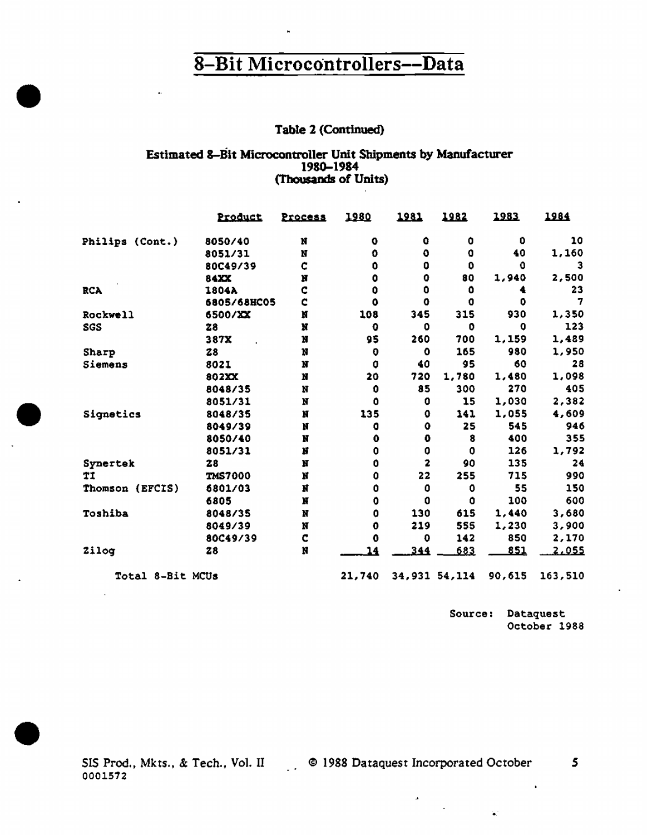#### Table 2 (Continued)

#### Estimated 8-Bit Microcontroller Unit Shipments by Manufacturer 1980-1984 (Thousands of Units)

 $\sim 100$  km s  $^{-1}$ 

|                  | Product        | Process | 1980             | 1981         | 1982          | 1983       | 1984         |
|------------------|----------------|---------|------------------|--------------|---------------|------------|--------------|
| Philips (Cont.)  | 8050/40        | N       | ٥                | û            | 0             | O          | 10           |
|                  | 8051/31        | N       | o                | 0            | o             | 40         | 1,160        |
|                  | 80C49/39       | C       | 0                | 0            | O             | o          |              |
|                  | 84XX           | N       | 0                | 0            | 80            | 1,940      | 2,500        |
| <b>RCA</b>       | 1804A          | C       | $\bullet$        | 0            | o             | 4          | 23           |
|                  | 6805/68HC05    | ¢       | ٥                | ٥            | 0             | O.         | 7            |
| Rockwell         | 6500/XX        | N       | 108              | 345          | 315           | 930        | 1,350        |
| <b>SGS</b>       | 28             | N       | $\mathbf o$      | ٥            | 0             | o          | 123          |
|                  | 387X           | N       | 95               | 260          | 700           | 1,159      | 1,489        |
| <b>Sharp</b>     | 28             | N       | $\mathbf 0$      | O            | 165           | 980        | 1,950        |
| Siemens          | 8021           | N       | O                | 40           | 95            | 60         | 28           |
|                  | 802XX          | N       | 20               | 720          | 1,780         | 1,480      | 1,098        |
|                  | 8048/35        | N       | $\mathbf 0$      | 85           | 300           | 270        | 405          |
|                  | 8051/31        | N       | 0                | 0            | 15            | 1,030      | 2,382        |
| Signetics        | 8048/35        | N       | 135              | ٥            | 141           | 1,055      | 4,609        |
|                  | 8049/39        | N       | 0                | ٥            | 25            | 545        | 946          |
|                  | 8050/40        | N       | $\mathbf 0$      | 0            | 8             | 400        | 355          |
|                  | 8051/31        | N       | 0                | 0            | $\mathbf 0$   | 126        | 1,792        |
| Synertek         | 28             | Ħ       | 0                | $\mathbf{z}$ | 90            | 135        | 24           |
| TI               | <b>TMS7000</b> | N       | $\bf{0}$         | 22           | 255           | 715        | 990          |
| Thomson (EFCIS)  | 6801/03        | Ħ       | $\bf{0}$         | $\bf{0}$     | 0             | 55         | 150          |
|                  | 6805           | Ħ       | $\boldsymbol{0}$ | 0            | 0             | 100        | 600          |
| Toshiba          | 8048/35        | Ħ       | 0                | 130          | 615           | 1,440      | 3,680        |
|                  | 8049/39        | N       | 0                | 219          | 555           | 1,230      | 3,900        |
|                  | 80C49/39       | c       | $\bf{0}$         | o            | 142           | 850        | 2,170        |
| Zilog            | 28             | Ħ       | 14               | 344          | 683           | <u>851</u> | <u>2,055</u> |
| Total 8-Bit MCUs |                |         | 21,740           |              | 34,931 54,114 | 90,615     | 163,510      |

Source: Dataquest October 1988

 $\bullet$ 

 $\mathbf{a}_i$ 

þ,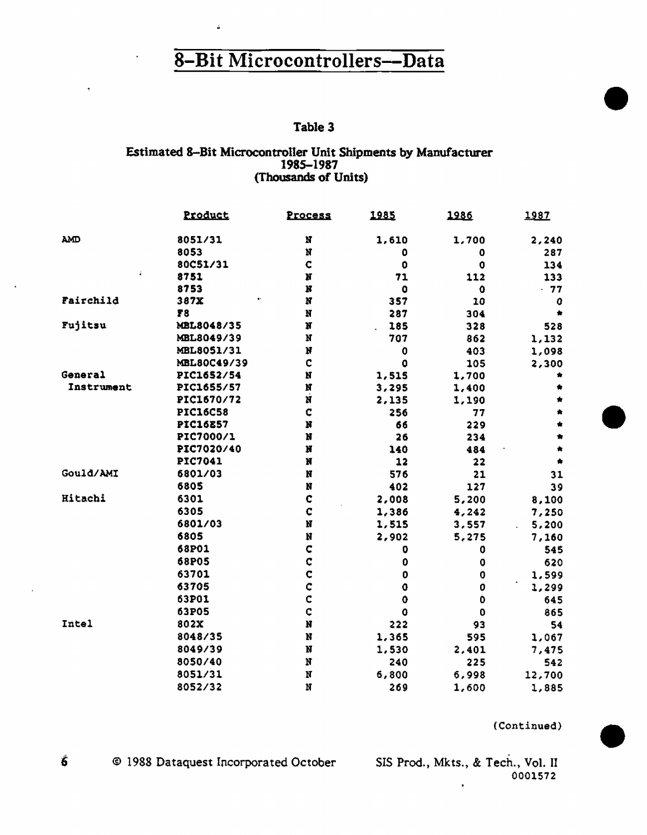÷

#### Table 3

## Estimated 8-Bit Microcontroller Unit Shipments by Manufacturer<br>1985-1987 (Thousands of Units)

|              | Product         | Process                   | 1985                | 1986        | 1987   |
|--------------|-----------------|---------------------------|---------------------|-------------|--------|
| <b>AMD</b>   | 8051/31         | N                         | 1,610               | 1,700       | 2,240  |
|              | 8053            | N                         | 0                   | 0           | 287    |
|              | 80C51/31        | C                         | 0                   | 0           | 134    |
|              | 8751            | N                         | 71                  | 112         | 133    |
|              | 8753            | N                         | $\bullet$           | 0           | - 77   |
| Fairchild    | 387X            | N                         | 357                 | 10          | ٥      |
|              | F8              | N                         | 287                 | 304         |        |
| Fujitsu      | MBL8048/35      | N                         | 185                 | 328         | 528    |
|              | MBL8049/39      | N                         | 707                 | 862         | 1,132  |
|              | MBL8051/31      | N                         | $\bf{0}$            | 403         | 1,098  |
|              | MBL80C49/39     | C                         | 0                   | 105         | 2,300  |
| General      | PIC1652/54      | N                         | 1,515               | 1,700       |        |
| Instrument   | PIC1655/57      | N                         | 3,295               | 1,400       |        |
|              | PIC1670/72      | Ń                         | 2,135               | 1,190       |        |
|              | <b>PIC16C58</b> | C                         | 256                 | 77          |        |
|              | <b>PIC16E57</b> | N                         | 66                  | 229         |        |
|              | PIC7000/1       | N                         | 26                  | 234         |        |
|              | PIC7020/40      | N                         | 140                 | 484         |        |
|              | PIC7041         | N                         | 12                  | 22          |        |
| Gould/AMI    | 6801/03         | N                         | 576                 | 21          | 31     |
|              | 6805            | N                         | 402                 | 127         | 39     |
| Hitachi      | 6301            | ¢                         | 2,008               | 5,200       | 8,100  |
|              | 6305            | C                         | 1,386               | 4,242       | 7,250  |
|              | 6801/03         | N                         | 1,515               | 3,557       | 5,200  |
|              | 6805            | N                         | 2,902               | 5,275       | 7,160  |
|              | 68P01           | $\mathbf C$               | 0                   | 0           | 545    |
|              | 68P05           | ¢                         | 0                   | 0           | 620    |
|              | 63701           | ¢                         | 0                   | $\mathbf 0$ | 1,599  |
|              | 63705           | ¢                         | $\mathbf 0$         | 0           | 1,299  |
|              | 63P01           | $\mathbf C$               | $\ddot{\mathbf{0}}$ | $\bullet$   | 645    |
|              | 63P05           | Ċ                         | ¢                   | 0           | 865    |
| <b>Intel</b> | 802X            | N                         | 222                 | 93          | 54     |
|              | 8048/35         | N                         | 1,365               | 595         | 1,067  |
|              | 8049/39         | N                         | 1,530               | 2,401       | 7,475  |
|              | 8050/40         | N                         | 240                 | 225         | 542    |
|              | 8051/31         | $\boldsymbol{\mathrm{N}}$ | 6,800               | 6,998       | 12,700 |
|              | 8052/32         | N                         | 269                 | 1,600       | 1,885  |

(Continued)

 $\hat{\mathbf{6}}$ © 1988 Dataquest Incorporated October

SIS Prod., Mkts., & Tech., Vol. II 0001572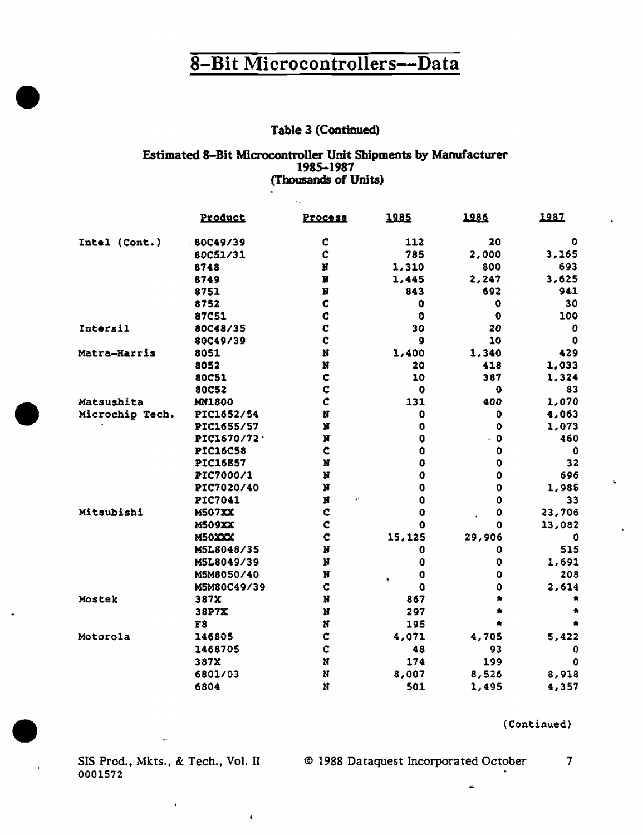#### **Table 3 (Continued)**

#### Estimated 8-Bit Microcontroller Unit Shipments by Manufacturer 1985-1987 (Thousands of Units)

 $\mathcal{A}_{\mathbf{a}}$ 

|                 | Product         | Process                     | 1985                | 1986                              | 1987   |
|-----------------|-----------------|-----------------------------|---------------------|-----------------------------------|--------|
| Intel (Cont.)   | $-80C49/39$     | C                           | 112                 | 20                                | 0      |
|                 | 80C51/31        | $\mathbf C$                 | 785                 | 2,000                             | 3,165  |
|                 | 8748            | N                           | 1,310               | 800                               | 693    |
|                 | 8749            | N                           | 1,445               | 2,247                             | 3,625  |
|                 | 8751            | N                           | 843                 | 692                               | 941    |
|                 | 8752            | Ċ                           | 0                   | O                                 | 30     |
|                 | 87C51           | ¢                           | 0                   | $\mathbf 0$                       | 100    |
| Intersil        | 80C48/35        | C                           | 30                  | 20                                | ٥      |
|                 | 80C49/39        | C                           | 9                   | 10                                | 0      |
| Matra-Harris    | 8051            | N                           | 1,400               | 1,340                             | 429    |
|                 | 8052            | N                           | 20                  | 418                               | 1,033  |
|                 | <b>80C51</b>    | ¢                           | 10                  | 387                               | 1,324  |
|                 | 80C52           | $\mathbf c$                 | $\bullet$           | ٥                                 | 83     |
| Matsushita      | <b>MN1800</b>   | Ċ                           | 131                 | 400                               | 1,070  |
| Microchip Tech. | PIC1652/54      | N                           | 0                   | o                                 | 4,063  |
|                 | PIC1655/57      | $\mathbf{H}$                | $\bf{0}$            | $\mathbf 0$                       | 1,073  |
|                 | PIC1670/72      | N                           | 0                   | $\cdot$ 0                         | 460    |
|                 | <b>PIC16C58</b> | C                           | $\ddot{\mathbf{0}}$ | 0                                 | 0      |
|                 | <b>PIC16E57</b> | $\mathbf{H}$                | 0                   | $\mathbf 0$                       | 32     |
|                 | PIC7000/1       | N                           | o                   | 0                                 | 696    |
|                 | PIC7020/40      | N                           | 0                   | 0                                 | 1,985  |
|                 | PIC7041         | $\mathbf{N}$<br>$\bullet^i$ | Ó                   | $\mathbf 0$                       | 33     |
| Mitsubishi      | <b>M507XX</b>   | C                           | 0                   | $\bullet$<br>$\ddot{\phantom{a}}$ | 23,706 |
|                 | <b>M509XX</b>   | C                           | Û                   | û                                 | 13,082 |
|                 | M50XXX          | C                           | 15,125              | 29,906                            | Ω      |
|                 | M5L8048/35      | N                           | 0                   | 0                                 | 515    |
|                 | M5L8049/39      | N                           | 0                   | 0                                 | 1,691  |
|                 | M5M8050/40      | N                           | 0<br>$\mathbf{r}_i$ | û                                 | 208    |
|                 | M5M80C49/39     | C                           | O                   | 0                                 | 2,614  |
| Mostek          | 387X            | Ħ                           | 867                 |                                   |        |
|                 | 38P7X           | Ħ                           | 297                 | $\star$                           |        |
|                 | F8              | N                           | 195                 |                                   | Ś.     |
| Motorola        | 146805          | C                           | 4,071               | 4,705                             | 5,422  |
|                 | 1468705         | $\mathbf C$                 | 48                  | 93                                | 0      |
|                 | 387X            | N                           | 174                 | 199                               | 0      |
|                 | 6801/03         | N                           | 8,007               | 8,526                             | 8,918  |
|                 | 6804            | $\overline{\mathbf{N}}$     | 501                 | 1,495                             | 4,357  |

(Continued)

0001572

 $\mathbf{I}_i$ 

 $\ddot{\phantom{a}}$ 

÷.

SIS Prod., Mkts., & Tech., Vol. II © 1988 Dataquest Incorporated October  $\overline{\tau}$ 

 $\mathbf{x}$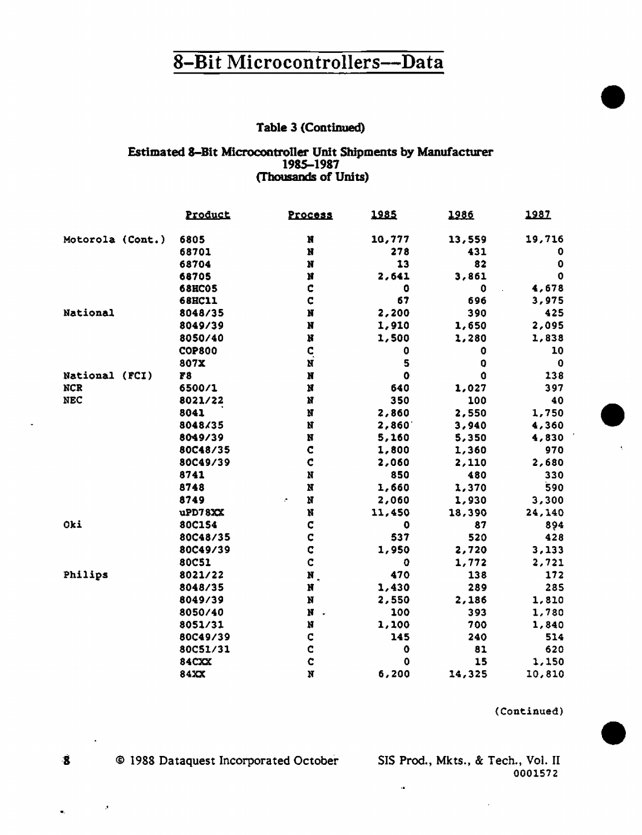#### Table 3 (Continued)

#### Estimated 8-Bit Microcontroller Unit Shipments by Manufacturer 1985-1987 (Thousands of Units)

|                  | Product       | Process                   | 1985        | 1986        | 1987        |
|------------------|---------------|---------------------------|-------------|-------------|-------------|
| Motorola (Cont.) | 6805          | N                         | 10,777      | 13,559      | 19,716      |
|                  | 68701         | $\mathbf H$               | 278         | 431         | 0           |
|                  | 68704         | N                         | 13          | 82          | 0           |
|                  | 68705         | Ħ                         | 2,641       | 3,861       | $\mathbf 0$ |
|                  | <b>68HC05</b> | c                         | 0           | $\mathbf 0$ | 4,678       |
|                  | <b>68HC11</b> | $\mathbf C$               | 67          | 696         | 3,975       |
| National         | 8048/35       | $\mathbf{N}$              | 2,200       | 390         | 425         |
|                  | 8049/39       | N                         | 1,910       | 1,650       | 2,095       |
|                  | 8050/40       | N                         | 1,500       | 1,280       | 1,838       |
|                  | <b>COP800</b> | q                         | 0           | 0           | 10          |
|                  | 807X          | N                         | 5           | 0           | $\bf{0}$    |
| National (FCI)   | 78            | N                         | $\mathbf 0$ | $\mathbf 0$ | 138         |
| <b>NCR</b>       | 6500/1        | $\pmb{\mathcal{M}}$       | 640         | 1,027       | 397         |
| <b>NEC</b>       | 8021/22       | N                         | 350         | 100         | 40          |
|                  | 8041          | N                         | 2,860       | 2,550       | 1,750       |
|                  | 8048/35       | $\mathbf M$               | 2,860       | 3,940       | 4,360       |
|                  | 8049/39       | $\bf N$                   | 5,160       | 5,350       | 4,830       |
|                  | 80C48/35      | $\mathbf c$               | 1,800       | 1,360       | 970         |
|                  | 80C49/39      | $\mathbf c$               | 2,060       | 2,110       | 2,680       |
|                  | 8741          | $\mathbf N$               | 850         | 480         | 330         |
|                  | 8748          | $\bf N$                   | 1,660       | 1,370       | 590         |
|                  | 8749          | N<br>÷                    | 2,060       | 1,930       | 3,300       |
|                  | uPD78XX       | N                         | 11,450      | 18,390      | 24,140      |
| Oki              | 80C154        | C                         | o           | 87          | 894         |
|                  | 80C48/35      | C                         | 537         | 520         | 428         |
|                  | 80C49/39      | C                         | 1,950       | 2,720       | 3,133       |
|                  | 80C51         | Ċ                         | o           | 1,772       | 2,721       |
| Philips          | 8021/22       | $\mathbf{N}_{\perp}$      | 470         | 138         | 172         |
|                  | 8048/35       | N                         | 1,430       | 289         | 285         |
|                  | 8049/39       | $\mathbf N$               | 2,550       | 2,186       | 1,810       |
|                  | 8050/40       | $\mathbf H$               | 100         | 393         | 1,780       |
|                  | 8051/31       | $\boldsymbol{\mathsf{M}}$ | 1,100       | 700         | 1,840       |
|                  | 80C49/39      | ¢                         | 145         | 240         | 514         |
|                  | 80C51/31      | c                         | 0           | 81          | 620         |
|                  | <b>84CXX</b>  | Ċ                         | 0           | 15          | 1,150       |
|                  | 84XX          | N                         | 6,200       | 14,325      | 10,810      |

(Continued)

© 1988 Dataquest Incorporated October

SIS Prod., Mkts., & Tech., Vol. II 0001572

 $\alpha$ 

 $\ddot{\mathbf{g}}$ 

 $\boldsymbol{\beta}$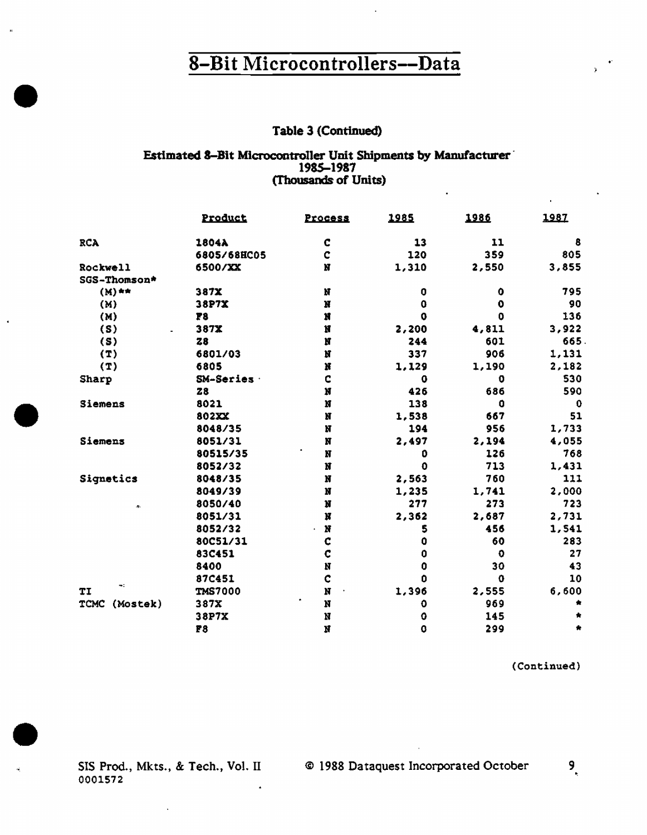#### Table 3 (Continued)

## Estimated 8-Bit Microcontroller Unit Shipments by Manufacturer<br>1985-1987 (Thousands of Units)

l.

|                               | Product        | <b>Process</b> | 1985        | 1986         | 1987  |
|-------------------------------|----------------|----------------|-------------|--------------|-------|
| <b>RCA</b>                    | 1804A          | C              | 13          | 11           | 8     |
|                               | 6805/68HC05    | $\mathbf c$    | 120         | 359          | 805   |
| Rockwell                      | 6500/XX        | N              | 1,310       | 2,550        | 3,855 |
| SGS-Thomson*                  |                |                |             |              |       |
| $(M)$ **                      | 387X           | N              | 0           | 0            | 795   |
| (M)                           | 38P7X          | N              | 0           | $\bullet$    | 90    |
| (M)                           | F8             | N              | $\mathbf 0$ | 0            | 136   |
| (S)                           | 387X           | Ħ              | 2,200       | 4,811        | 3,922 |
| (S)                           | <b>Z8</b>      | N              | 244         | 601          | 665   |
| (T)                           | 6801/03        | N              | 337         | 906          | 1,131 |
| (T)                           | 6805           | Ħ              | 1,129       | 1,190        | 2,182 |
| Sharp                         | SM-Series      | C              | 0           | 0            | 530   |
|                               | 28             | N              | 426         | 686          | 590   |
| Siemens                       | 8021           | N              | 138         | $\mathbf{a}$ | 0     |
|                               | 802XX          | N              | 1,538       | 667          | 51    |
|                               | 8048/35        | N              | 194         | 956          | 1,733 |
| Siemens                       | 8051/31        | N              | 2,497       | 2,194        | 4,055 |
|                               | 80515/35       | N              | 0           | 126          | 768   |
|                               | 8052/32        | N              | $\mathbf 0$ | 713          | 1,431 |
| Signetics                     | 8048/35        | N              | 2,563       | 760          | 111   |
|                               | 8049/39        | N              | 1,235       | 1,741        | 2,000 |
| $\mathcal{A}_{\mathcal{C}}$ . | 8050/40        | N              | 277         | 273          | 723   |
|                               | 8051/31        | N              | 2,362       | 2,687        | 2,731 |
|                               | 8052/32        | N<br>÷.        | 5           | 456          | 1,541 |
|                               | 80C51/31       | ¢              | 0           | 60           | 283   |
|                               | 83C451         | C              | 0           | $\bullet$    | 27    |
|                               | 8400           | N              | 0           | 30           | 43    |
|                               | 87C451         | ¢              | O           | $\Omega$     | 10    |
| ÷<br>TI                       | <b>TMS7000</b> | N              | 1,396       | 2,555        | 6,600 |
| (Mostek)<br><b>TCMC</b>       | 387X           | N              | 0           | 969          |       |
|                               | 38P7X          | N              | O           | 145          |       |
|                               | F8             | N              | O           | 299          |       |

(Continued)

SIS Prod., Mkts., & Tech., Vol. II 0001572  $\hat{\textbf{z}}$ 

×

@ 1988 Dataquest Incorporated October

9.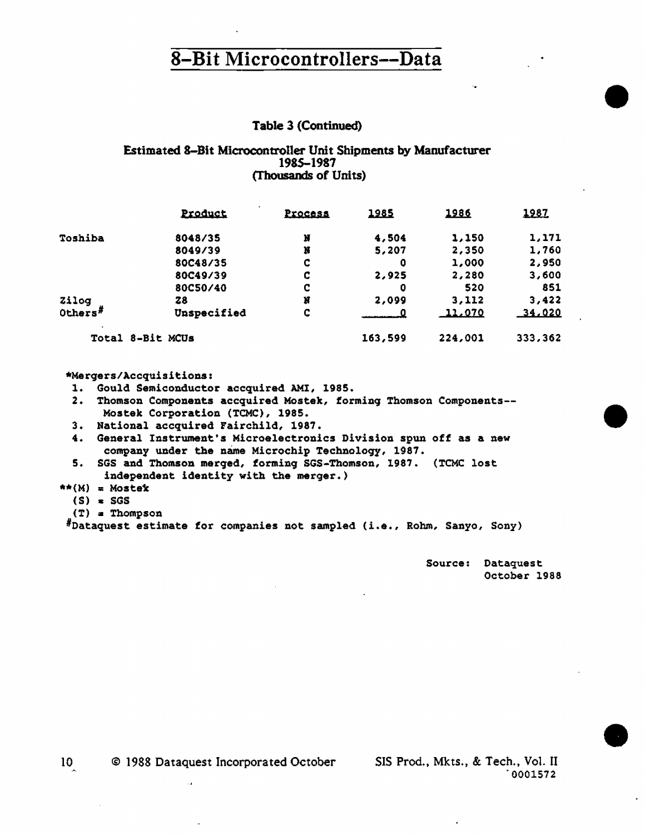#### Table 3 (Continued)

#### Estimated 8-Bit Microcontroller Unit Shipments by Manufacturer 1985-1987 (Thousands of Units)

|            | <u>Product</u>   | <b>Process</b> | 1985    | 1986    | 1987    |
|------------|------------------|----------------|---------|---------|---------|
| Toshiba    | 8048/35          | N              | 4,504   | 1,150   | 1,171   |
|            | 8049/39          | N              | 5,207   | 2,350   | 1,760   |
|            | 80C48/35         | C              | 0       | 1,000   | 2,950   |
|            | 80C49/39         | C              | 2,925   | 2,280   | 3,600   |
|            | 80C50/40         | c              | 0       | 520     | 851     |
| Zilog      | Z8               | Ħ              | 2,099   | 3,112   | 3,422   |
| Others $F$ | Unspecified      | C              | 0       | 11,070  | 34,020  |
|            | Total 8-Bit MCUs |                | 163,599 | 224,001 | 333,362 |

#### \*Mergers/Accquisitions:

- 1. Gould Semiconductor accquired AMI, 1985.
- 2. Thomson Components accquired Mostek, forming Thomson Components-- Mostek Corporation (TCMC), 1985.
- 3. National accquired Fairchild, 1987.
- 4. General Instrument's Microelectronics Division spun off as a new company under the name Microchip Technology, 1987.
- 5. SGS and Thomson merged, forming SGS-Thomson, 1987. (TCMC lost independent identity with the merger.)
- $**(M) = Mostek$ 
	- $(S) = SGS$
	- (T) a Thompson

#nataquest estimate for companies not sampled (i.e., Rohm, Sanyo, Sony)

Source: Dataquest October 1988 •

•

•

10 © 1988 Dataquest Incorporated October SIS Prod., Mkts., & Tech., Vol. II

·0001572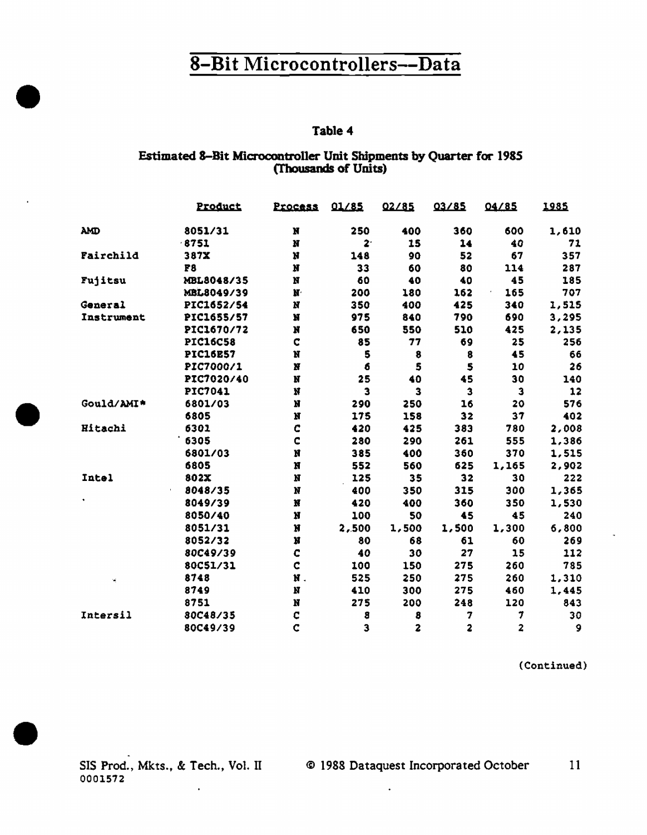#### Table 4

#### Estimated 8-Bit Microcontroller Unit Shipments by Quarter for 1985 (Thousands of Units)

|            | Product         | Process               | 01/85 | 02/85                   | 03/85                   | 04/85 | 1985  |
|------------|-----------------|-----------------------|-------|-------------------------|-------------------------|-------|-------|
| AMD        | 8051/31         | N                     | 250   | 400                     | 360                     | 600   | 1,610 |
|            | $-8751$         | N                     | $2 -$ | 15                      | 14                      | 40    | 71    |
| Fairchild  | 387X            | N                     | 148   | 90                      | 52                      | 67    | 357   |
|            | F <sub>8</sub>  | N                     | 33    | 60                      | 80                      | 114   | 287   |
| Fujitsu    | MBL8048/35      | N                     | 60    | 40                      | 40                      | 45    | 185   |
|            | MBL8049/39      | $\mathbf{M}^{\prime}$ | 200   | 180                     | 162                     | 165   | 707   |
| General    | PIC1652/54      | N                     | 350   | 400                     | 425                     | 340   | 1,515 |
| Instrument | PIC1655/57      | N                     | 975   | 840                     | 790                     | 690   | 3,295 |
|            | PIC1670/72      | N                     | 650   | 550                     | 510                     | 425   | 2,135 |
|            | <b>PIC16C58</b> | C                     | 85    | 77                      | 69                      | 25    | 256   |
|            | <b>PIC16E57</b> | N                     | 5     | 8                       | 8                       | 45    | 66    |
|            | PIC7000/1       | $\mathbf N$           | 6     | 5                       | \$                      | 10    | 26    |
|            | PIC7020/40      | N                     | 25    | 40                      | 45                      | 30    | 140   |
|            | PIC7041         | N                     | 3     | 3                       | 3                       | 3     | 12    |
| Gould/AMI* | 6801/03         | N                     | 290   | 250                     | 16                      | 20    | 576   |
|            | 6805            | N                     | 175   | 158                     | 32                      | 37    | 402   |
| Hitachi    | 6301            | C                     | 420   | 425                     | 383                     | 780   | 2,008 |
|            | 6305            | C                     | 280   | 290                     | 261                     | 555   | 1,386 |
|            | 6801/03         | N                     | 385   | 400                     | 360                     | 370   | 1,515 |
|            | 6805            | N                     | 552   | 560                     | 625                     | 1,165 | 2,902 |
| Intel      | 802X            | $\boldsymbol{N}$      | 125   | 35                      | 32                      | 30    | 222   |
|            | 8048/35         | $\mathbf N$           | 400   | 350                     | 315                     | 300   | 1,365 |
|            | 8049/39         | N                     | 420   | 400                     | 360                     | 350   | 1,530 |
|            | 8050/40         | N                     | 100   | 50                      | 45                      | 45    | 240   |
|            | 8051/31         | N                     | 2,500 | 1,500                   | 1,500                   | 1,300 | 6,800 |
|            | 8052/32         | N                     | 80    | 68                      | 61                      | 60    | 269   |
|            | 80C49/39        | C                     | 40    | 30                      | 27                      | 15    | 112   |
|            | 80C51/31        | Ċ                     | 100   | 150                     | 275                     | 260   | 785   |
| ٠ę         | 8748            | N.                    | 525   | 250                     | 275                     | 260   | 1,310 |
|            | 8749            | N                     | 410   | 300                     | 275                     | 460   | 1,445 |
|            | 8751            | N                     | 275   | 200                     | 248                     | 120   | 843   |
| Intersil   | 80C48/35        | C                     | 8     | 8                       | 7                       | 7     | 30    |
|            | 80C49/39        | Ċ                     | 3     | $\overline{\mathbf{z}}$ | $\overline{\mathbf{2}}$ | 2     | 9     |

(Continued)

0001572  $\ddot{\phantom{0}}$ 

SIS Prod., Mkts., & Tech., Vol. II © 1988 Dataquest Incorporated October  $11$ 

 $\ddot{\phantom{1}}$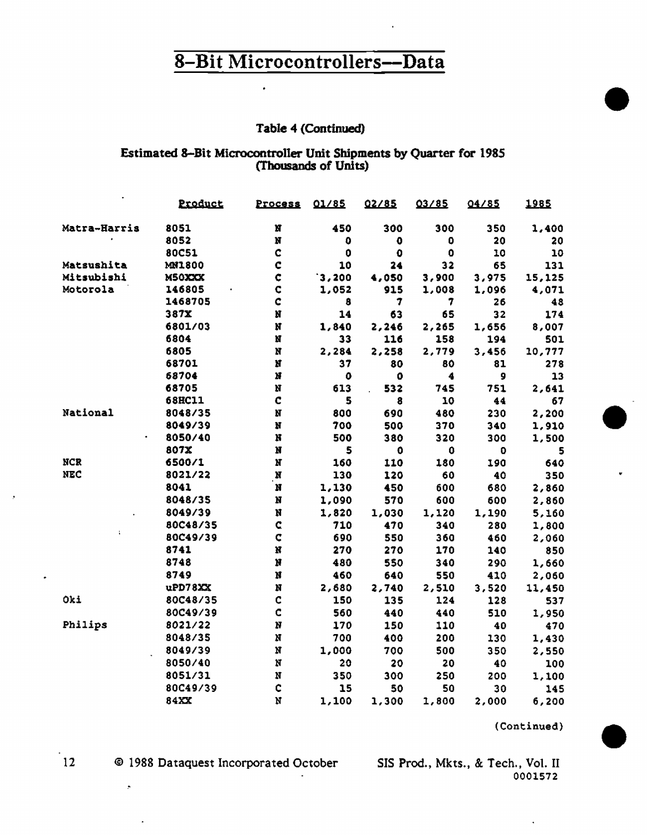$\bullet$ 

#### Table 4 (Continued)

# Estimated 8-Bit Microcontroller Unit Shipments by Quarter for 1985<br>(Thousands of Units)

|              | Product       | Process        | 01/85       | 02/85               | 03/85               | 04/85 | 1985   |
|--------------|---------------|----------------|-------------|---------------------|---------------------|-------|--------|
| Matra-Harris | 8051          | N              | 450         | 300                 | 300                 | 350   | 1,400  |
|              | 8052          | N              | 0           | $\bf{0}$            | 0                   | 20    | 20     |
|              | 80C51         | Ċ              | $\mathbf 0$ | $\ddot{\mathbf{0}}$ | $\ddot{\mathbf{0}}$ | 10    | 10     |
| Matsushita   | <b>MN1800</b> | Ċ              | 10          | 24                  | 32                  | 65    | 131    |
| Mitsubishi   | M50XXX        | ¢              | 3,200       | 4,050               | 3,900               | 3,975 | 15,125 |
| Motorola     | 146805        | ¢              | 1,052       | 915                 | 1,008               | 1,096 | 4,071  |
|              | 1468705       | Ċ              | 8           | 7                   | 7                   | 26    | 48     |
|              | 387X          | N              | 14          | 63                  | 65                  | 32    | 174    |
|              | 6801/03       | N              | 1,840       | 2,246               | 2,265               | 1,656 | 8,007  |
|              | 6804          | N              | 33          | 116                 | 158                 | 194   | 501    |
|              | 6805          | N              | 2,284       | 2,258               | 2,779               | 3,456 | 10,777 |
|              | 68701         | N              | 37          | 80                  | 80                  | 81    | 278    |
|              | 68704         | N              | 0           | 0                   | 4                   | 9     | 13     |
|              | 68705         | N              | 613         | 532                 | 745                 | 751   | 2,641  |
|              | <b>68HC11</b> | Ċ              | 5           | 8                   | 10                  | 44    | 67     |
| National     | 8048/35       | N              | 800         | 690                 | 480                 | 230   | 2,200  |
|              | 8049/39       | N              | 700         | 500                 | 370                 | 340   | 1,910  |
|              | 8050/40       | N              | 500         | 380                 | 320                 | 300   | 1,500  |
|              | 807X          | N              | 5           | $\mathbf 0$         | 0                   | o     | 5.     |
| <b>NCR</b>   | 6500/1        | N              | 160         | 110                 | 180                 | 190   | 640    |
| <b>NEC</b>   | 8021/22       | N              | 130         | 120                 | 60                  | 40    | 350    |
|              | 8041          | N              | 1,130       | 450                 | 600                 | 680   | 2,860  |
|              | 8048/35       | N              | 1,090       | 570                 | 600                 | 600   | 2,860  |
|              | 8049/39       | N              | 1,820       | 1,030               | 1,120               | 1,190 | 5,160  |
|              | 80C48/35      | C              | 710         | 470                 | 340                 | 280   | 1,800  |
| ÷,           | 80C49/39      | $\overline{C}$ | 690         | 550                 | 360                 | 460   | 2,060  |
|              | 8741          | N              | 270         | 270                 | 170                 | 140   | 850    |
|              | 8748          | N              | 480         | 550                 | 340                 | 290   | 1,660  |
|              | 8749          | N              | 460         | 640                 | 550                 | 410   | 2,060  |
|              | uPD78XX       | N              | 2,680       | 2,740               | 2,510               | 3,520 | 11,450 |
| Oki          | 80C48/35      | C              | 150         | 135                 | 124                 | 128   | 537    |
|              | 80C49/39      | Ċ              | 560         | 440                 | 440                 | 510   | 1,950  |
| Philips      | 8021/22       | N              | 170         | 150                 | 110                 | 40    | 470    |
|              | 8048/35       | N              | 700         | 400                 | 200                 | 130   | 1,430  |
|              | 8049/39       | N              | 1,000       | 700                 | 500                 | 350   | 2,550  |
|              | 8050/40       | N              | 20          | 20                  | 20                  | 40    | 100    |
|              | 8051/31       | N              | 350         | 300                 | 250                 | 200   | 1,100  |
|              | 80C49/39      | ¢              | 15          | 50                  | 50                  | 30    | 145    |
|              | 84XX          | Ń              | 1,100       | 1,300               | 1,800               | 2,000 | 6,200  |

(Continued)

 $12$ 

 $\mathcal{P}$ 

© 1988 Dataquest Incorporated October

SIS Prod., Mkts., & Tech., Vol. II 0001572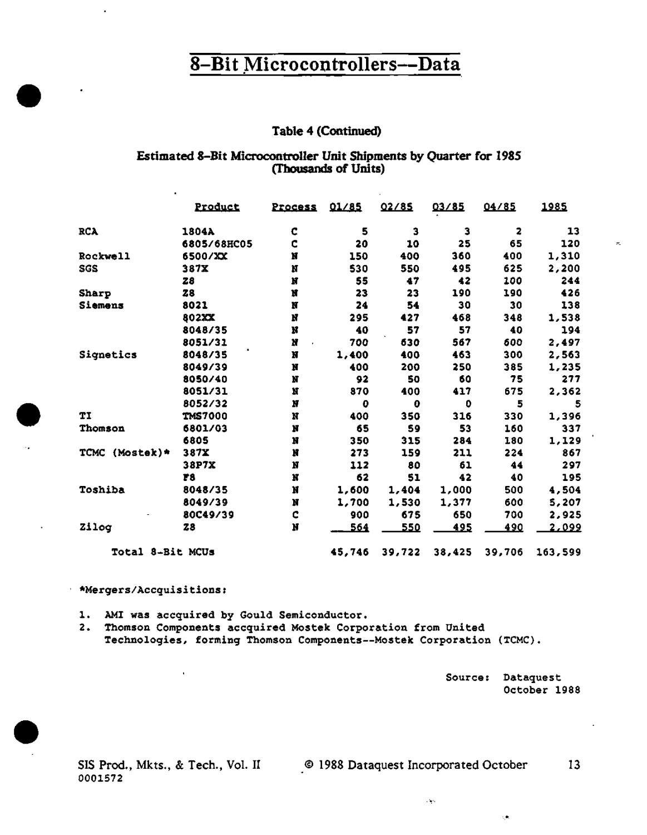#### Table 4 (Continued)

#### Estimated 8-Bit Microcontroller Unit Shipments by Quarter for 1985 (Thousands of Units)

|                   | Product        | <b>Process</b> | 01/85  | 02/85  | 03/85  | 04/85  | 1985         |
|-------------------|----------------|----------------|--------|--------|--------|--------|--------------|
| <b>RCA</b>        | 1804A          | C              | 5      | 3      | 3      | 2      | 13           |
|                   | 6805/68HC05    | C              | 20     | 10     | 25     | 65     | 120          |
| Rockwell          | 6500/XX        | N              | 150    | 400    | 360    | 400    | 1,310        |
| SGS               | 387X           | N              | 530    | 550    | 495    | 625    | 2,200        |
|                   | 28             | N              | 55     | 47     | 42     | 100    | 244          |
| Sharp             | 28             | Ħ              | 23     | 23     | 190    | 190    | 426          |
| Siemens           | 8021           | N              | 24     | 54     | 30     | 30     | 138          |
|                   | 802XX          | N              | 295    | 427    | 468    | 348    | 1,538        |
|                   | 8048/35        | Ħ              | 40     | 57     | 57     | 40     | 194          |
|                   | 8051/31        | N              | 700    | 630    | 567    | 600    | 2,497        |
| Signetics         | 8048/35        | N              | 1,400  | 400    | 463    | 300    | 2,563        |
|                   | 8049/39        | N              | 400    | 200    | 250    | 385    | 1,235        |
|                   | 8050/40        | N              | 92     | 50     | 60     | 75     | 277          |
|                   | 8051/31        | N              | 870    | 400    | 417    | 675    | 2,362        |
|                   | 8052/32        | N              | o      | 0      | ٥      | 5      | 5            |
| TI                | <b>TMS7000</b> | N              | 400    | 350    | 316    | 330    | 1,396        |
| Thomson           | 6801/03        | N              | 65     | 59     | 53     | 160    | 337          |
|                   | 6805           | N              | 350    | 315    | 284    | 180    | 1,129        |
| (Mostek)*<br>TCMC | 387X           | N              | 273    | 159    | 211    | 224    | 867          |
|                   | 38P7X          | N              | 112    | 80     | 61     | 44     | 297          |
|                   | 78             | N              | 62     | 51     | 42     | 40     | 195          |
| Toshiba           | 8048/35        | N              | 1,600  | 1,404  | 1,000  | 500    | 4,504        |
|                   | 8049/39        | N              | 1,700  | 1,530  | 1,377  | 600    | 5,207        |
|                   | 80C49/39       | C              | 900    | 675    | 650    | 700    | 2,925        |
| Zilog             | 28             | N              | 564    | 550    | 495    | 490    | <u>2,099</u> |
| Total 8-Bit MCUs  |                |                | 45,746 | 39,722 | 38,425 | 39,706 | 163,599      |

#### \* \*Mergers/Accquisitions:

l,

1. AMI was accquired by Gould Semiconductor.

2. Thomson Components accquired Mostek Corporation from United Technologies, forming Thomson Components--Mostek Corporation (TCMC).

> Source: Dataquest October 1988

> > çõ,

SIS Prod., Mkts., & Tech., Vol. II 0001572

@ 1988 Dataquest Incorporated October 13

 $\sim 500$ 

 $\tau_{\rm s}$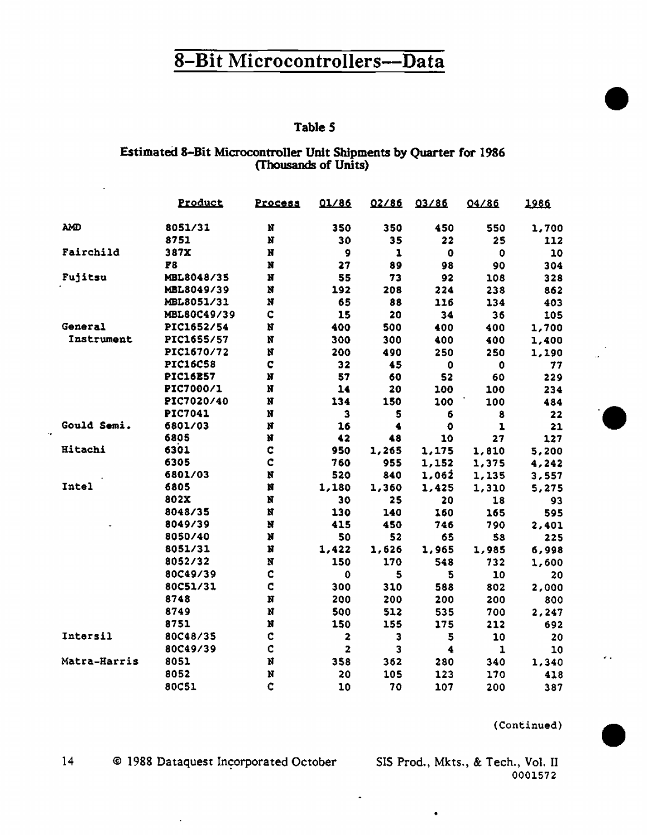#### Table 5

#### Estimated 8-Bit Microcontroller Unit Shipments by Quarter for 1986 (Thousands of Units)

|              | Product         | Process      | 01/86       | 02/86 | 03/86       | 04/86        | 1986  |
|--------------|-----------------|--------------|-------------|-------|-------------|--------------|-------|
| λM           | 8051/31         | $\mathbf{N}$ | 350         | 350   | 450         | 550          | 1,700 |
|              | 8751            | $\mathbf{N}$ | 30          | 35    | 22          | 25           | 112   |
| Fairchild    | 387X            | N            | 9           | 1     | $\bullet$   | $\mathbf 0$  | 10    |
|              | F3              | N            | 27          | 89    | 98          | 90           | 304   |
| Fujitsu      | MBL8048/35      | N            | 55          | 73    | 92          | 108          | 328   |
|              | MBL8049/39      | N            | 192         | 208   | 224         | 238          | 862   |
|              | MBL8051/31      | N            | 65          | 88    | 116         | 134          | 403   |
|              | MBL80C49/39     | $\mathbf C$  | 15          | 20    | 34          | 36           | 105   |
| General      | PIC1652/54      | N            | 400         | 500   | 400         | 400          | 1,700 |
| Instrument   | PIC1655/57      | N            | 300         | 300   | 400         | 400          | 1,400 |
|              | PIC1670/72      | N            | 200         | 490   | 250         | 250          | 1,190 |
|              | <b>PIC16C58</b> | C            | 32          | 45    | $\mathbf 0$ | $\bullet$    | 77    |
|              | <b>PIC16E57</b> | N            | 57          | 60    | 52          | 60           | 229   |
|              | PIC7000/1       | N            | 14          | 20    | 100         | 100          | 234   |
|              | PIC7020/40      | N            | 134         | 150   | 100         | 100          | 484   |
|              | PIC7041         | N            | 3           | 5     | 6           | 8            | 22    |
| Gould Semi.  | 6801/03         | N            | 16          | 4     | $\bullet$   | $\mathbf{1}$ | 21    |
|              | 6805            | N            | 42          | 48    | 10          | 27           | 127   |
| Hitachi      | 6301            | $\mathbf C$  | 950         | 1,265 | 1,175       | 1,810        | 5,200 |
|              | 6305            | Ċ            | 760         | 955   | 1,152       | 1,375        | 4,242 |
|              | 6801/03         | N            | 520         | 840   | 1,062       | 1,135        | 3,557 |
| Intel        | 6805            | N            | 1,180       | 1,360 | 1,425       | 1,310        | 5,275 |
|              | 802X            | N            | 30          | 25    | 20          | 18           | 93    |
|              | 8048/35         | N            | 130         | 140   | 160         | 165          | 595   |
|              | 8049/39         | $\bf N$      | 415         | 450   | 746         | 790          | 2,401 |
|              | 8050/40         | N            | 50          | 52    | 65          | 58           | 225   |
|              | 8051/31         | N            | 1,422       | 1,626 | 1,965       | 1,985        | 6,998 |
|              | 8052/32         | N            | 150         | 170   | 548         | 732          | 1,600 |
|              | 80C49/39        | Ċ            | $\mathbf 0$ | 5     | 5           | 10           | 20    |
|              | 80C51/31        | C            | 300         | 310   | 588         | 802          | 2,000 |
|              | 8748            | N            | 200         | 200   | 200         | 200          | 800   |
|              | 8749            | N            | 500         | 512   | 535         | 700          | 2,247 |
|              | 8751            | N            | 150         | 155   | 175         | 212          | 692   |
| Intersil     | 80C48/35        | C            | 2           | 3     | 5           | 10           | 20    |
|              | 80C49/39        | C            | 2           | 3     | 4           | $\mathbf{1}$ | 10    |
| Matra-Harris | 8051            | N            | 358         | 362   | 280         | 340          | 1,340 |
|              | 8052            | N            | 20          | 105   | 123         | 170          | 418   |
|              | 80C51           | C            | 10          | 70    | 107         | 200          | 387   |

(Continued)

k.

 $14$ © 1988 Dataquest Incorporated October

 $\bar{\alpha}$ 

SIS Prod., Mkts., & Tech., Vol. II 0001572

 $\ddot{\phantom{a}}$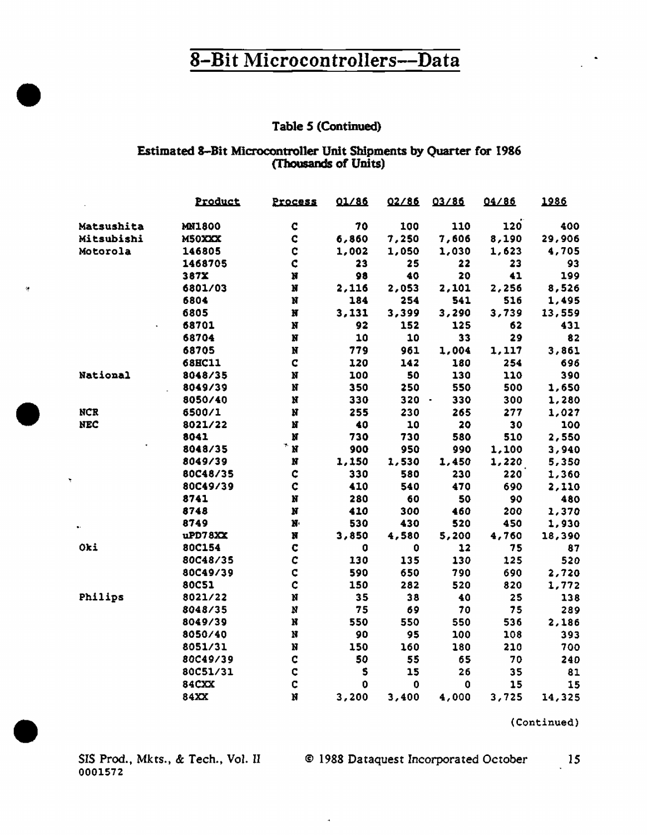#### Table 5 (Continued)

#### Estimated 8-Bit Microcontroller Unit Shipments by Quarter for 1986 (Thousands of Units)

|            | Product       | Process                 | 01/86 | 02/86 | 03/86         | 04/86 | 1986   |
|------------|---------------|-------------------------|-------|-------|---------------|-------|--------|
| Matsushita | <b>MN1800</b> | $\mathbf C$             | 70    | 100   | 110           | 120   | 400    |
| Mitsubishi | M50XXX        | ¢                       | 6,860 | 7,250 | 7,606         | 8,190 | 29,906 |
| Motorola   | 146805        | $\mathbf C$             | 1,002 | 1,050 | 1,030         | 1,623 | 4,705  |
|            | 1468705       | $\mathbf c$             | 23    | 25    | 22            | 23    | 93     |
|            | 387X          | N                       | 98    | 40    | 20            | 41    | 199    |
|            | 6801/03       | N                       | 2,116 | 2,053 | 2,101         | 2,256 | 8,526  |
|            | 6804          | N                       | 184   | 254   | 541           | 516   | 1,495  |
|            | 6805          | $\overline{\mathbf{M}}$ | 3,131 | 3,399 | 3,290         | 3,739 | 13,559 |
|            | 68701         | N                       | 92    | 152   | 125           | 62    | 431    |
|            | 68704         | N                       | 10    | 10    | 33            | 29    | 82     |
|            | 68705         | N                       | 779   | 961   | 1,004         | 1,117 | 3,861  |
|            | 68HC11        | C                       | 120   | 142   | 180           | 254   | 696    |
| National   | 8048/35       | N                       | 100   | 50    | 130           | 110   | 390    |
|            | 8049/39       | N                       | 350   | 250   | 550           | 500   | 1,650  |
|            | 8050/40       | N                       | 330   | 320   | 330<br>$\sim$ | 300   | 1,280  |
| <b>NCR</b> | 6500/1        | N                       | 255   | 230   | 265           | 277   | 1,027  |
| <b>NEC</b> | 8021/22       | N                       | 40    | 10    | 20            | 30    | 100    |
|            | 8041          | N                       | 730   | 730   | 580           | 510   | 2,550  |
|            | 8048/35       | N                       | 900   | 950   | 990           | 1,100 | 3,940  |
|            | 8049/39       | N                       | 1,150 | 1,530 | 1,450         | 1,220 | 5,350  |
|            | 80C48/35      | ¢                       | 330   | 580   | 230           | 220   | 1,360  |
| ۲          | 80C49/39      | C                       | 410   | 540   | 470           | 690   | 2,110  |
|            | 8741          | N                       | 280   | 60    | 50            | 90    | 480    |
|            | 8748          | N                       | 410   | 300   | 460           | 200   | 1,370  |
|            | 8749          | $\mathbf{N}$            | 530   | 430   | 520           | 450   | 1,930  |
|            | uPD78XX       | N                       | 3,850 | 4,580 | 5,200         | 4,760 | 18,390 |
| Oki        | 80C154        | $\mathbf c$             | 0     | 0     | 12            | 75    | 87     |
|            | 80C48/35      | Ċ                       | 130   | 135   | 130           | 125   | 520    |
|            | 80C49/39      | C                       | 590   | 650   | 790           | 690   | 2,720  |
|            | <b>80C51</b>  | Ċ                       | 150   | 282   | 520           | 820   | 1,772  |
| Philips    | 8021/22       | N                       | 35    | 38    | 40            | 25    | 138    |
|            | 8048/35       | $\pmb{\aleph}$          | 75    | 69    | 70            | 75    | 289    |
|            | 8049/39       | N                       | 550   | 550   | 550           | 536   | 2,186  |
|            | 8050/40       | N                       | 90    | 95    | 100           | 108   | 393    |
|            | 8051/31       | N                       | 150   | 160   | 180           | 210   | 700    |
|            | 80C49/39      | ¢                       | 50    | 55    | 65            | 70    | 240    |
|            | 80C51/31      | $\mathbf C$             | 5     | 15    | 26            | 35    | 81     |
|            | 84CXX         | C                       | 0     | 0     | $\bf{0}$      | 15    | 15     |
|            | 84XX          | Ń                       | 3,200 | 3,400 | 4,000         | 3,725 | 14,325 |

 $\tilde{\mathbf{a}}$ 

(Continued)

i.

0001572

 $\bar{Q}$ 

 $\frac{15}{15}$ SIS Prod., Mkts., & Tech., Vol. II © 1988 Dataquest Incorporated October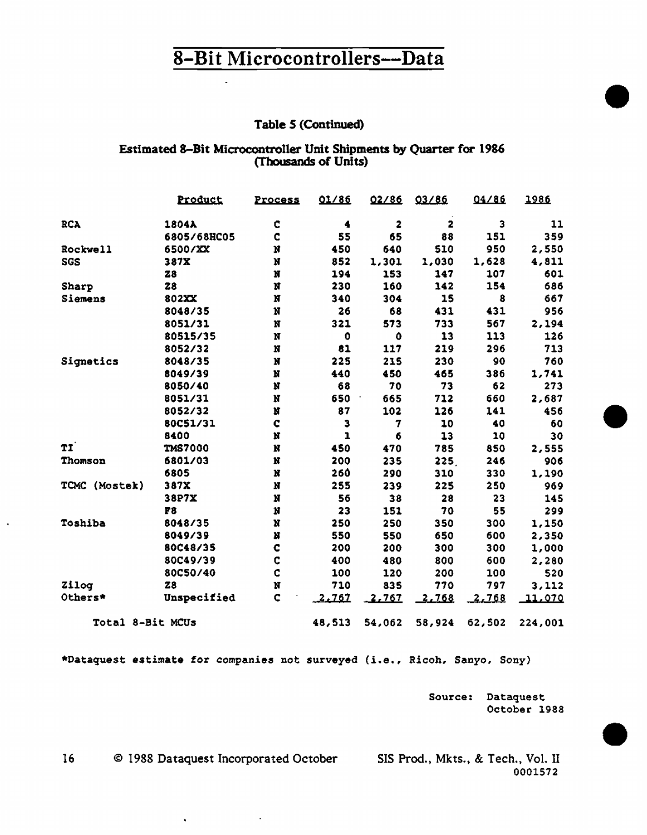# Table 5 (Continued)

#### Estimated 8-Bit Microcontroller Unit Shipments by Quarter for 1986 (Thousands of Units)

|                  | Product        | Process     | 01/86  | 02/86     | 03/86  | 04/86  | 1986           |  |
|------------------|----------------|-------------|--------|-----------|--------|--------|----------------|--|
| <b>RCA</b>       | 1804A          | c           | 4      | 2         | 2      | з      | 11             |  |
|                  | 6805/68HC05    | c           | 55     | 65        | 88     | 151    | 359            |  |
| Rockwell         | 6500/XX        | N           | 450    | 640       | 510    | 950    | 2,550          |  |
| <b>SGS</b>       | 387X           | N           | 852    | 1,301     | 1,030  | 1,628  | 4,811          |  |
|                  | Z8             | N           | 194    | 153       | 147    | 107    | 601            |  |
| Sharp            | 28             | N           | 230    | 160       | 142    | 154    | 686            |  |
| Siemens          | 802XX          | N           | 340    | 304       | 15     | 8      | 667            |  |
|                  | 8048/35        | N           | 26     | 68        | 431    | 431    | 956            |  |
|                  | 8051/31        | N           | 321    | 573       | 733    | 567    | 2.194          |  |
|                  | 80515/35       | N           | 0      | $\bullet$ | 13     | 113    | 126            |  |
|                  | 8052/32        | $\mathbf N$ | 81     | 117       | 219    | 296    | 713            |  |
| Signetics        | 8048/35        | N           | 225    | 215       | 230    | 90     | 760            |  |
|                  | 8049/39        | N           | 440    | 450       | 465    | 386    | 1,741          |  |
|                  | 8050/40        | N           | 68     | 70        | 73     | 62     | 273            |  |
|                  | 8051/31        | N           | 650    | 665       | 712    | 660    | 2,687          |  |
|                  | 8052/32        | N           | 87     | 102       | 126    | 141    | 456            |  |
|                  | 80C51/31       | C           | э      | 7         | 10     | 40     | 60             |  |
|                  | 8400           | N           | ı      | 6         | 13     | 10     | 30             |  |
| TI               | <b>TMS7000</b> | $\bf N$     | 450    | 470       | 785    | 850    | 2,555          |  |
| <b>Thomson</b>   | 6801/03        | N           | 200    | 235       | 225.   | 246    | 906            |  |
|                  | 6805           | N           | 260    | 290       | 310    | 330    | 1,190          |  |
| TCMC (Mostek)    | 387X           | N           | 255    | 239       | 225    | 250    | 969            |  |
|                  | 38P7X          | N           | 56     | 38        | 28     | 23     | 145            |  |
|                  | F8             | N           | 23     | 151       | 70     | 55     | 299            |  |
| Toshiba          | 8048/35        | $\mathbf N$ | 250    | 250       | 350    | 300    | 1,150          |  |
|                  | 8049/39        | N           | 550    | 550       | 650    | 600    | 2,350          |  |
|                  | 80C48/35       | $\mathbf C$ | 200    | 200       | 300    | 300    | 1,000          |  |
|                  | 80C49/39       | C           | 400    | 480       | 800    | 600    | 2,280          |  |
|                  | 80C50/40       | ¢           | 100    | 120       | 200    | 100    | 520            |  |
| Zilog            | 28             | N           | 710    | 835       | 770    | 797    | 3,112          |  |
| Others*          | Unspecified    | $\mathbf C$ | 2.767  | 2.767     | 2.768  | 2,768  | <u> 11,070</u> |  |
| Total 8-Bit MCUs |                |             | 48,513 | 54,062    | 58,924 | 62,502 | 224,001        |  |

\*Dataquest estimate for companies not surveyed (i.e., Ricoh, Sanyo, Sony)

Source: Dataquest October 1988

16 © 1988 Dataquest Incorporated October SIS Prod., Mkts., & Tech., Vol. II

 $\tilde{\mathbf{v}}$ 

**Contract Contract** 

 $\bar{\mathbf{r}}$ 

0001572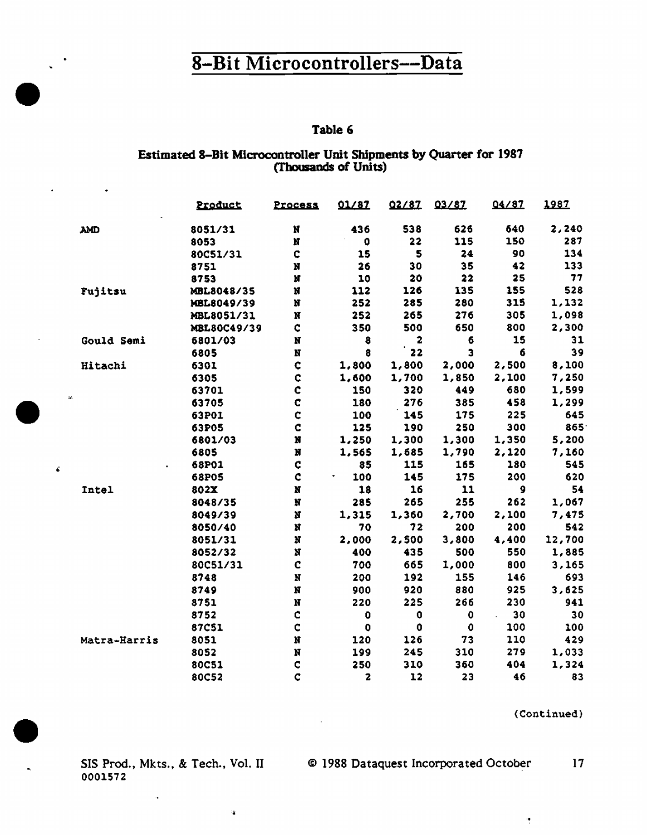#### Table 6

# Estimated 8-Bit Microcontroller Unit Shipments by Quarter for 1987<br>(Thousands of Units)

|              | Product      | Process            | 01/87              | 02/87 | 03/87       | 04/87    | 1987   |
|--------------|--------------|--------------------|--------------------|-------|-------------|----------|--------|
| <b>AMD</b>   | 8051/31      | N                  | 436                | 538   | 626         | 640      | 2,240  |
|              | 8053         | N                  | 0                  | 22    | 115         | 150      | 287    |
|              | 80C51/31     | ¢                  | 15                 | 5     | 24          | 90       | 134    |
|              | 8751         | N                  | 26                 | 30    | 35          | 42       | 133    |
|              | 8753         | N                  | 10                 | 20    | 22          | 25       | 77     |
| Fujitsu      | MBL8048/35   | N                  | 112                | 126   | 135         | 155      | 528    |
|              | MBL8049/39   | N                  | 252                | 285   | 280         | 315      | 1,132  |
|              | MBL8051/31   | N                  | 252                | 265   | 276         | 305      | 1,098  |
|              | MBL80C49/39  | $\mathbf{C}$       | 350                | 500   | 650         | 800      | 2,300  |
| Gould Semi   | 6801/03      | N                  | 8                  | 2     | 6           | 15       | 31     |
|              | 6805         | N                  | 8                  | 22    | 3           | 6        | 39     |
| Hitachi      | 6301         | $\mathbf{C}$       | 1,800              | 1,800 | 2,000       | 2,500    | 8,100  |
|              | 6305         | ¢                  | 1,600              | 1,700 | 1,850       | 2,100    | 7,250  |
|              | 63701        | c                  | 150                | 320   | 449         | 680      | 1,599  |
| à.           | 63705        | $\mathbf c$        | 180                | 276   | 385         | 458      | 1,299  |
|              | 63P01        | ¢                  | 100                | 145   | 175         | 225      | 645    |
|              | 63P05        | C                  | 125                | 190   | 250         | 300      | 865    |
|              | 6801/03      | N                  | 1,250              | 1,300 | 1,300       | 1,350    | 5,200  |
|              | 6805         | N                  | 1,565              | 1,685 | 1,790       | 2,120    | 7,160  |
|              | 68P01        | Ċ                  | 85                 | 115   | 165         | 180      | 545    |
|              | 68P05        | $\mathbf c$        | 100                | 145   | 175         | 200      | 620    |
| Intel        | 802X         | N                  | 18                 | 16    | 11          | 9        | 54     |
|              | 8048/35      | N                  | 285                | 265   | 255         | 262      | 1,067  |
|              | 8049/39      | N                  | 1,315              | 1,360 | 2,700       | 2,100    | 7,475  |
|              | 8050/40      | $\pmb{\mathrm{N}}$ | 70                 | 72    | 200         | 200      | 542    |
|              | 8051/31      | N                  | 2,000              | 2,500 | 3,800       | 4,400    | 12,700 |
|              | 8052/32      | N                  | 400                | 435   | 500         | 550      | 1,885  |
|              | 80C51/31     | c                  | 700                | 665   | 1,000       | 800      | 3,165  |
|              | 8748         | $\mathbf N$        | 200                | 192   | 155         | 146      | 693    |
|              | 8749         | N                  | 900                | 920   | 880         | 925      | 3,625  |
|              | 8751         | N                  | 220                | 225   | 266         | 230      | 941    |
|              | 8752         | C                  | $\pmb{\mathsf{Q}}$ | 0     | $\mathbf 0$ | 30<br>L. | 30     |
|              | <b>87C51</b> | $\mathbf c$        | 0                  | 0     | 0           | 100      | 100    |
| Matra-Harris | 8051         | $\bf N$            | 120                | 126   | 73          | 110      | 429    |
|              | 8052         | N                  | 199                | 245   | 310         | 279      | 1,033  |
|              | 80C51        | $\mathbf c$        | 250                | 310   | 360         | 404      | 1,324  |
|              | 80C52        | Ċ                  | 2                  | 12    | 23          | 46       | 83     |
|              |              |                    |                    |       |             |          |        |

(Continued)

 $\frac{1}{2}$ 

0001572

 $\mathbf{\hat{a}}$ 

 $\mathcal{A}$ 

 $\mathbf{v}_\mathrm{c}$ 

J.

 $\hat{\mathbf{c}}$ 

 $\bullet$ 

SIS Prod., Mkts., & Tech., Vol. II © 1988 Dataquest Incorporated October 17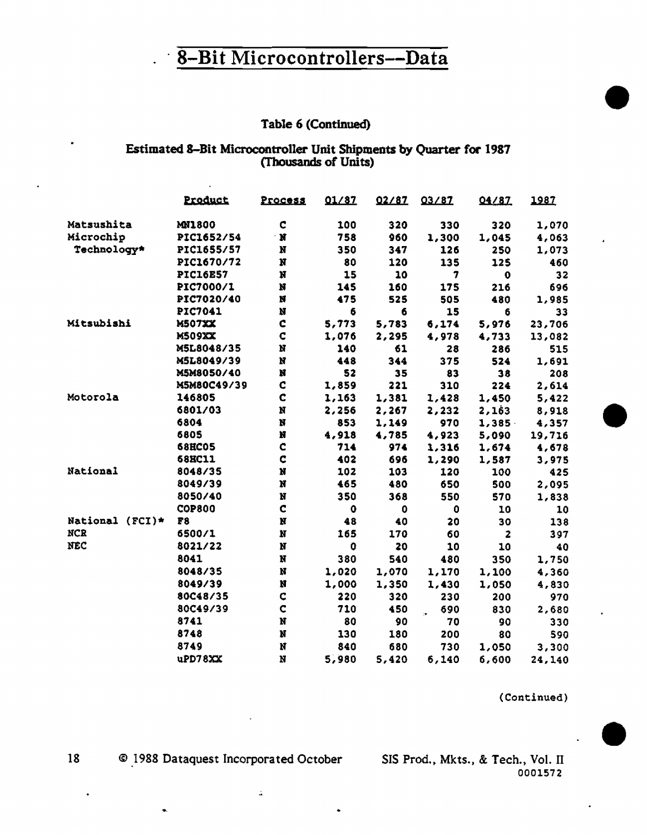#### Table 6 (Continued)

# Estimated 8-Bit Microcontroller Unit Shipments by Quarter for 1987<br>(Thousands of Units)

|                 | Product         | Process     | 01/87 | 02/87 | 03/87 | 04/87                   | 1987   |
|-----------------|-----------------|-------------|-------|-------|-------|-------------------------|--------|
| Matsushita      | <b>MN1800</b>   | C           | 100   | 320   | 330   | 320                     | 1,070  |
| Microchip       | PIC1652/54      | N           | 758   | 960   | 1,300 | 1,045                   | 4,063  |
| Technology*     | PIC1655/57      | N           | 350   | 347   | 126   | 250                     | 1,073  |
|                 | PIC1670/72      | N           | 80    | 120   | 135   | 125                     | 460    |
|                 | <b>PIC16E57</b> | N           | 15    | 10    | 7     | $\bullet$               | 32     |
|                 | PIC7000/1       | N           | 145   | 160   | 175   | 216                     | 696    |
|                 | PIC7020/40      | N           | 475   | 525   | 505   | 480                     | 1,985  |
|                 | <b>PIC7041</b>  | Ņ           | 6     | 6     | 15    | 6                       | 33     |
| Mitsubishi      | <b>M507XX</b>   | C           | 5,773 | 5,783 | 6,174 | 5,976                   | 23,706 |
|                 | <b>M509XX</b>   | C           | 1,076 | 2,295 | 4,978 | 4,733                   | 13,082 |
|                 | M5L8048/35      | N           | 140   | 61    | 28    | 286                     | 515    |
|                 | M5L8049/39      | Ń           | 448   | 344   | 375   | 524                     | 1,691  |
|                 | M5M8050/40      | N           | 52    | 35    | 83    | 38                      | 208    |
|                 | M5M80C49/39     | Ç           | 1,859 | 221   | 310   | 224                     | 2,614  |
| Motorola        | 146805          | $\mathbf c$ | 1,163 | 1,381 | 1,428 | 1,450                   | 5,422  |
|                 | 6801/03         | N           | 2,256 | 2,267 | 2,232 | 2,163                   | 8,918  |
|                 | 6804            | N           | 853   | 1,149 | 970   | 1,385                   | 4,357  |
|                 | 6805            | N           | 4,918 | 4,785 | 4,923 | 5,090                   | 19,716 |
|                 | <b>68HC05</b>   | C           | 714   | 974   | 1,316 | 1,674                   | 4,678  |
|                 | <b>68HC11</b>   | C           | 402   | 696   | 1,290 | 1,587                   | 3,975  |
| National        | 8048/35         | N           | 102   | 103   | 120   | 100                     | 425    |
|                 | 8049/39         | N           | 465   | 480   | 650   | 500                     | 2,095  |
|                 | 8050/40         | N           | 350   | 368   | 550   | 570                     | 1,838  |
|                 | <b>COP800</b>   | C           | 0     | 0     | 0     | 10                      | 10     |
| National (FCI)* | F8              | N           | 48    | 40    | 20    | 30                      | 138    |
| <b>NCR</b>      | 6500/1          | N           | 165   | 170   | 60    | $\overline{\mathbf{z}}$ | 397    |
| <b>NEC</b>      | 8021/22         | N           | 0     | 20    | 10    | 10                      | 40     |
|                 | 8041            | Ņ           | 380   | 540   | 480   | 350                     | 1,750  |
|                 | 8048/35         | Ņ           | 1,020 | 1,070 | 1,170 | 1,100                   | 4,360  |
|                 | 8049/39         | Ņ           | 1,000 | 1,350 | 1,430 | 1,050                   | 4,830  |
|                 | 80C48/35        | C           | 220   | 320   | 230   | 200                     | 970    |
|                 | 80C49/39        | $\mathbf C$ | 710   | 450   | 690   | 830                     | 2,680  |
|                 | 8741            | N           | 80    | 90    | 70    | 90                      | 330    |
|                 | 8748            | N           | 130   | 180   | 200   | 80                      | 590    |
|                 | 8749            | N           | 840   | 680   | 730   | 1,050                   | 3,300  |
|                 | uPD78XX         | Ń           | 5,980 | 5,420 | 6,140 | 6,600                   | 24.140 |

(Continued)

© 1988 Dataquest Incorporated October

 $\mathbb{Z}$ 

SIS Prod., Mkts., & Tech., Vol. II 0001572

18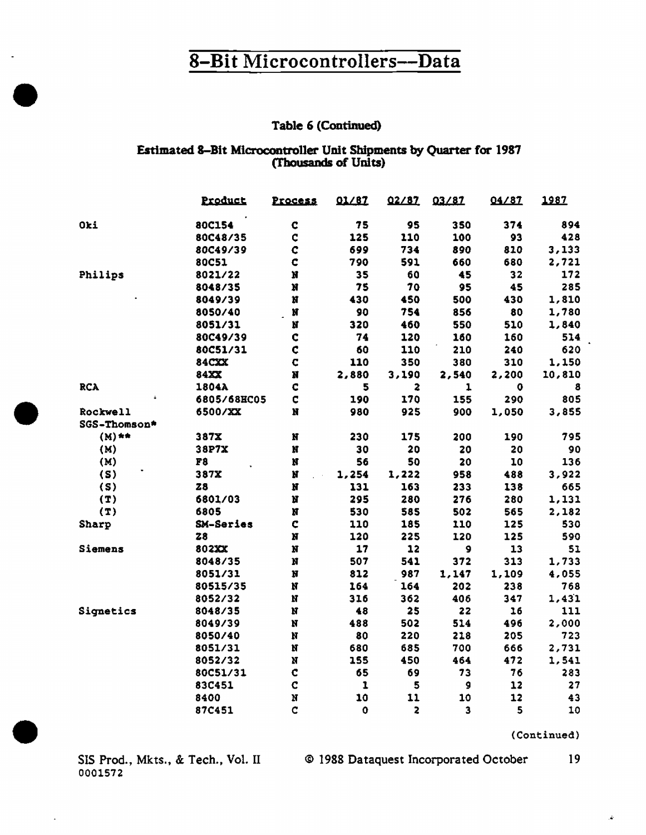#### Table 6 (Continued)

#### Estimated 8-Bit Microcontroller Unit Shipments by Quarter for 1987 (Thousands of Units)

|              | Product          | Process     | 01/87       | 02/87                   | 03/87 | 04/87 | 1987   |
|--------------|------------------|-------------|-------------|-------------------------|-------|-------|--------|
| Oki          | 80C154           | $\mathbf C$ | 75          | 95                      | 350   | 374   | 894    |
|              | 80C48/35         | C           | 125         | 110                     | 100   | 93    | 428    |
|              | 80C49/39         | ¢           | 699         | 734                     | 890   | 810   | 3,133  |
|              | 80C51            | C           | 790         | 591                     | 660   | 680   | 2,721  |
| Philips      | 8021/22          | N           | 35          | 60                      | 45    | 32    | 172    |
|              | 8048/35          | N           | 75          | 70                      | 95    | 45    | 285    |
|              | 8049/39          | N           | 430         | 450                     | 500   | 430   | 1,810  |
|              | 8050/40          | N           | 90          | 754                     | 856   | 80    | 1,780  |
|              | 8051/31          | N           | 320         | 460                     | 550   | 510   | 1,840  |
|              | 80C49/39         | ¢           | 74          | 120                     | 160   | 160   | 514    |
|              | 80C51/31         | ¢           | 60          | 110                     | 210   | 240   | 620    |
|              | 84CXX            | $\mathbf C$ | 110         | 350                     | 380   | 310   | 1,150  |
|              | 84XX             | N           | 2,880       | 3,190                   | 2,540 | 2,200 | 10,810 |
| <b>RCA</b>   | 1804A            | C           | 5           | $\overline{\mathbf{z}}$ | 1     | o     | 8      |
|              | 6805/68HC05      | C           | 190         | 170                     | 155   | 290   | 805    |
| Rockwell     | 6500/XX          | N           | 980         | 925                     | 900   | 1,050 | 3,855  |
| SGS-Thomson* |                  |             |             |                         |       |       |        |
| $(M)$ **     | 387X             | N           | 230         | 175                     | 200   | 190   | 795    |
| (M)          | 38P7X            | N           | 30          | 20                      | 20    | 20    | 90     |
| (M)          | F8               | Ņ           | 56          | 50                      | 20    | 10    | 136    |
| (S)          | 387X             | N           | 1,254       | 1,222                   | 958   | 488   | 3,922  |
| (S)          | 28               | Ŋ           | 131         | 163                     | 233   | 138   | 665    |
| (T)          | 6801/03          | N           | 295         | 280                     | 276   | 280   | 1,131  |
| (T)          | 6805             | N           | 530         | 585                     | 502   | 565   | 2,182  |
| Sharp        | <b>SM-Series</b> | Ç           | 110         | 185                     | 110   | 125   | 530    |
|              | <b>Z8</b>        | N           | 120         | 225                     | 120   | 125   | 590    |
| Siemens      | 802XX            | N           | 17          | 12                      | 9     | 13    | 51     |
|              | 8048/35          | N           | 507         | 541                     | 372   | 313   | 1,733  |
|              | 8051/31          | N           | 812         | 987                     | 1,147 | 1,109 | 4,055  |
|              | 80515/35         | N           | 164         | 164                     | 202   | 238   | 768    |
|              | 8052/32          | N           | 316         | 362                     | 406   | 347   | 1,431  |
| Signetics    | 8048/35          | N           | 48          | 25                      | 22    | 16    | 111    |
|              | 8049/39          | N           | 488         | 502                     | 514   | 496   | 2,000  |
|              | 8050/40          | N           | 80          | 220                     | 218   | 205   | 723    |
|              | 8051/31          | N           | 680         | 685                     | 700   | 666   | 2,731  |
|              | 8052/32          | N           | 155         | 450                     | 464   | 472   | 1,541  |
|              | 80C51/31         | $\mathbf c$ | 65          | 69                      | 73    | 76    | 283    |
|              | 83C451           | C           | ı           | 5                       | 9     | 12    | 27     |
|              | 8400             | N           | 10          | 11                      | 10    | 12    | 43     |
|              | 87C451           | Ċ           | $\mathbf 0$ | 2                       | 3     | 5     | 10     |

(Continued)

0001572

SIS Prod., Mkts., & Tech., Vol. II © 1988 Dataquest Incorporated October 19